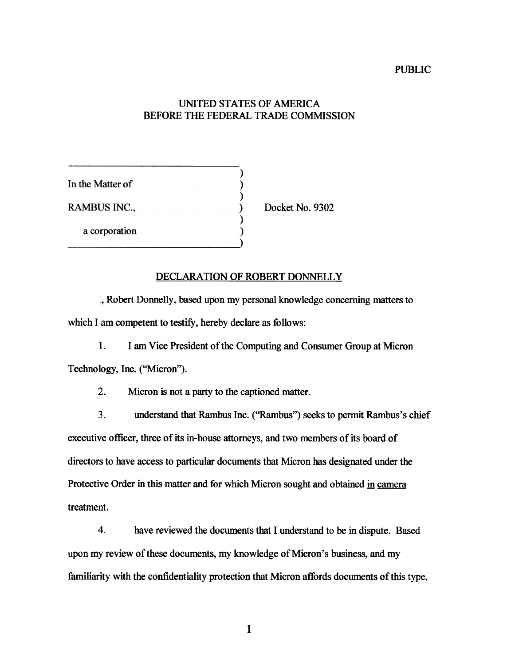## PUBLIC

## UNITED STATES OF AMERICA BEFORE THE FEDERAL TRADE COMMISSION

In the Matter of

RAMBUS INC.,

a corporation

Docket No. 9302

## DECLARATION OF ROBERT DONNELLY

", Robert Donnelly, based upon my personal knowledge concerning matters to which I am competent to testify, hereby declare as follows:

 $\mathcal{)}$  $\mathcal{E}$ 

 $\lambda$ 

1. I am Vice President of the Computing and Consumer Group at Micron Technology, Inc. ("Micron").

2. Micron is not a party to the captioned matter.

3. understand that Rambus Inc. ("Rambus") seeks to permit Rambus's chief executive officer, three of its in-house attorneys, and two members of its board of directors to have access to particular documents that Micron has designated under the Protective Order in this matter and for which Micron sought and obtained in camera treatment.

4. have reviewed the documents that I understand to be in dispute. Based upon my review of these documents, my knowledge of Micron's business, and my familiarity with the confidentiality protection that Micron affords documents of this type,

1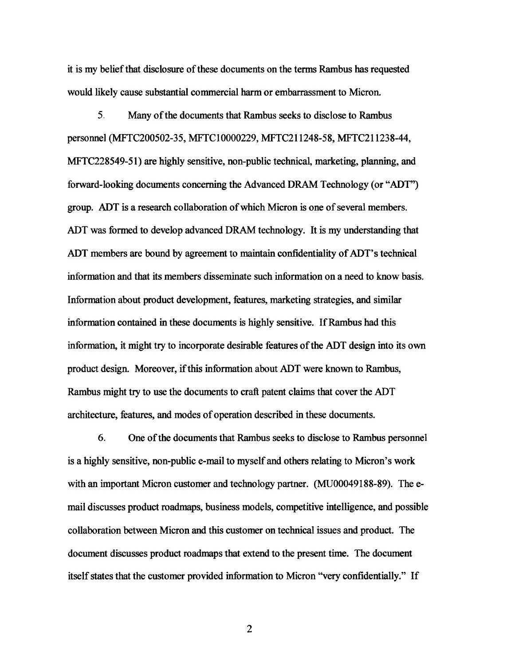it is my belief that disclosure of these documents on the terms Rambus has requested would likely cause substantial commercial harm or embarrassment to Micron.

5. Many of the documents that Rambus seeks to disclose to Rambus personnel (MFTC200502-35, MFTCIOOOO229, MFTC211248-58, MFTC211238-44, MFTC228549-51) are highly sensitive, non-public technical, marketing, planning, and forward-looking documents concerning the Advanced DRAM Technology (or " ADT") group. ADT is a research collaboration of which Micron is one of several members. ADT was formed to develop advanced DRAM technology. It is my understanding that ADT members are bound by agreement to maintain confidentiality of ADT's technical information and that its members disseminate such information on a need to know basis. Information about product development, features, marketing strategies, and similar information contained in these documents is highly sensitive. IfRambus had this information, it might try to incorporate desirable features of the ADT design into its own product design. Moreover, if this information about ADT were known to Rambus, Rambus might try to use the documents to craft patent claims that cover the ADT architecture, features, and modes of operation described in these documents.

6. One of the documents that Rambus seeks to disclose to Rambus personnel is a highly sensitive, non-public e-mail to myself and others relating to Micron's work with an important Micron customer and technology partner. (MU00049188-89). The email discusses product roadmaps, business models, competitive intelligence, and possible collaboration between Micron and this customer on technical issues and product. The document discusses product roadmaps that extend to the present time. The document itself states that the customer provided information to Micron "very confidentially." If

2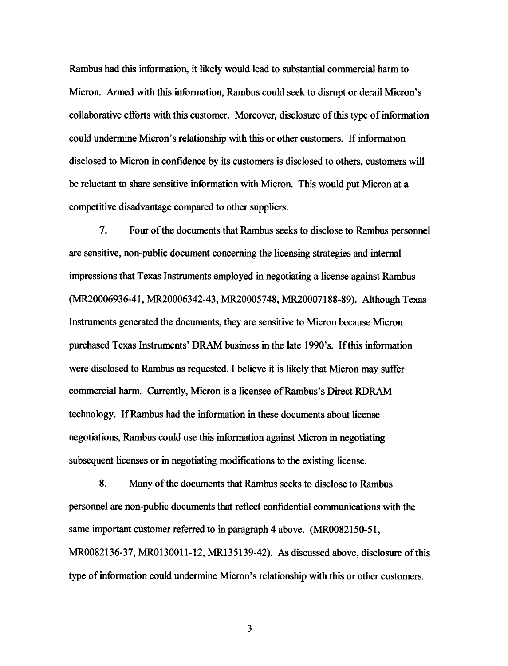Rambus had this information, it likely would lead to substantial commercial harm to Micron. Armed with this information, Rambus could seek to disrupt or derail Micron's collaborative efforts with this customer. Moreover, disclosure of this type of information could undermine Micron's relationship with this or other customers. If information disclosed to Micron in confidence by its customers is disclosed to others, customers will be reluctant to share sensitive information with Micron. This would put Micron at a competitive disadvantage compared to other suppliers.

7. Four of the documents that Rambus seeks to disclose to Rambus personnel are sensitive, non-public document concerning the licensing strategies and internal impressions that Texas Instruments employed in negotiating a license against Rambus (MR20006936-41, MR20006342-43, MR20005748, MR20007188-89). Although Texas Instruments generated the documents, they are sensitive to Micron because Micron purchased Texas Instruments' DRAM business in the late 1990's. If this information were disclosed to Rambus as requested, I believe it is likely that Micron may suffer commercial harm. Currently, Micron is a licensee of Rambus's Direct RDRAM technology. IfRambus had the information in these documents about license negotiations, Rambus could use this information against Micron in negotiating subsequent licenses or in negotiating modifications to the existing license.

8. Many of the documents that Rambus seeks to disclose to Rambus personnel are non-public documents that reflect confidential communications with the same important customer referred to in paragraph 4 above. (MROO82150-51, MROO82136-37, MROI30011-12, MRI35139-42). As discussed above, disclosure of this type of information could undermine Micron's relationship with this or other customers.

3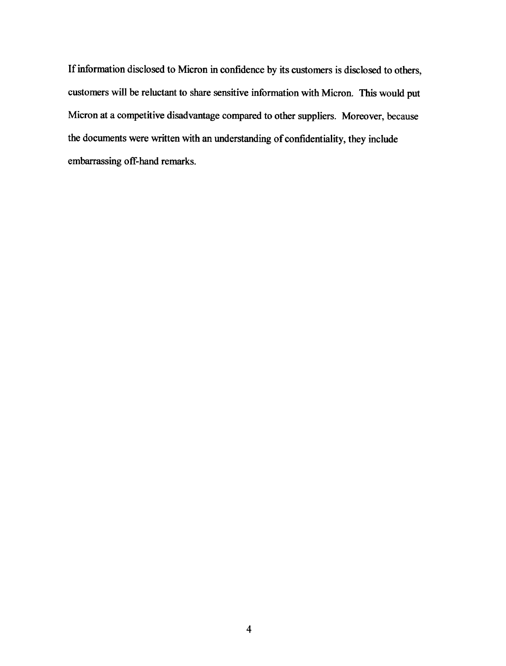If information disclosed to Micron in confidence by its customers is disclosed to others, customers will be reluctant to share sensitive information with Micron. This would put Micron at a competitive disadvantage compared to other suppliers. Moreover, because the documents were written with an understanding of confidentiality, they include embarrassing off-hand remarks.